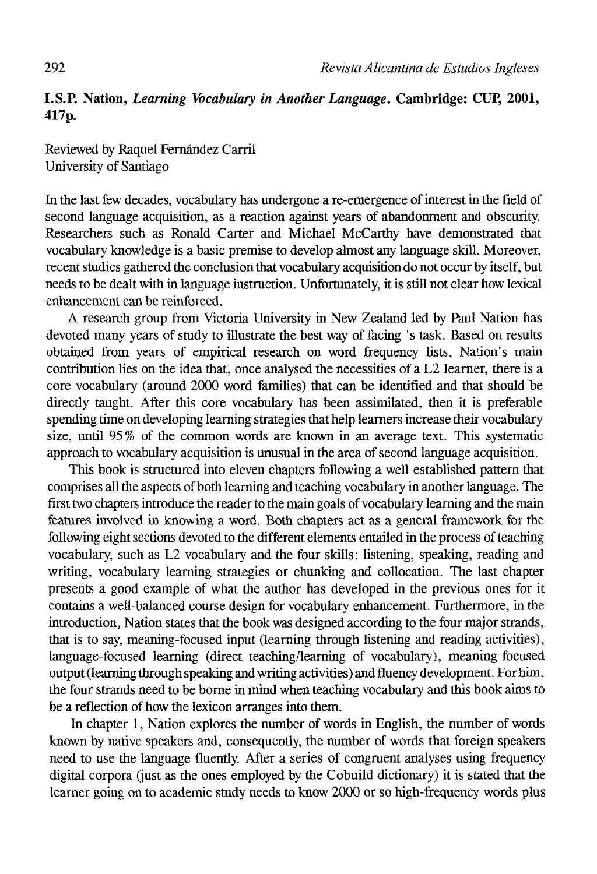## **I.S.P. Nation,** *Learning Vocabulary in Another Language.* **Cambridge: CUP, 2001, 417p.**

Reviewed by Raquel Fernández Carril University of Santiago

In the last few decades, vocabulary has undergone a re-emergence of interest in the field of second language acquisition, as a reaction against years of abandonment and obscurity. Researchers such as Ronald Cárter and Michael McCarthy have demonstrated that vocabulary knowledge is a basic premise to develop almost any language skill. Moreover, recent studies gathered the conclusión that vocabulary acquisition do notoccur by itself, but needs to be dealt with in language instruction. Unfortunately, it is still not clear how lexical enhancement can be reinforced.

A research group from Victoria University in New Zealand led by Paul Nation has devoted many years of study to illustrate the best way of facing 's task. Based on results obtained from years of empirical research on word frequency lists, Nation 's main contribution lies on the idea that, once analysed the necessities of a L2 learner, there is a core vocabulary (around 2000 word families) that can be identified and that should be directly taught. After this core vocabulary has been assimilated, then it is preferable spending time on developing learning strategies that help learners increase their vocabulary size, until 95 % of the common words are known in an average text. This systematic approach to vocabulary acquisition is unusual in the área of second language acquisition.

This book is structured into eleven chapters following a well established pattern that comprises all the aspects of both learning and teaching vocabulary in another language. The fírst two chapters introduce the reader to the main goals of vocabulary learning and the main features involved in knowing a word. Both chapters act as a general framework for the following eight sections devoted to the different elements entailed in the process of teaching vocabulary, such as L2 vocabulary and the four skills: listening, speaking, reading and writing, vocabulary learning strategies or chunking and collocation. The last chapter presents a good example of what the author has developed in the previous ones for it contains a well-balanced course design for vocabulary enhancement. Furthermore, in the introduction, Nation states that the book was designed according to the four major strands, that is to say, meaning-focused input (learning through listening and reading activities), language-focused learning (direct teaching/learning of vocabulary), meaning-focused output (learning through speaking and writing activities) and fluency development. Forhim, the four strands need to be borne in mind when teaching vocabulary and this book aims to be a reflection of how the lexicon arranges into them.

In chapter 1, Nation explores the number of words in English, the number of words known by native speakers and, consequently, the number of words that foreign speakers need to use the language fluently. After a series of congruent analyses using frequency digital corpora (just as the ones employed by the Cobuild dictionary) it is stated that the learner going on to academic study needs to know 2000 or so high-frequency words plus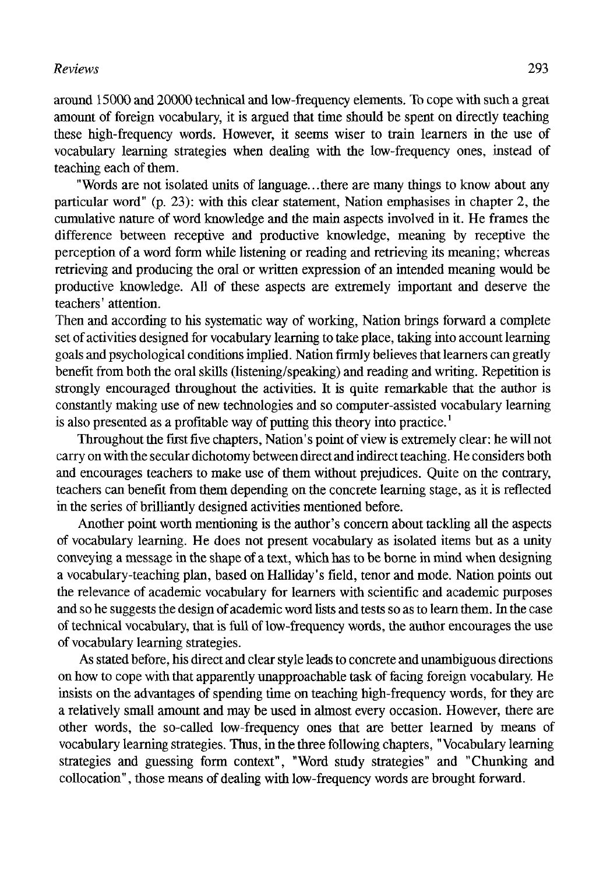# *Reviews* 293

around 15000 and 20000 technical and low-frequency elements. To cope with such a great amount of foreign vocabulary, it is argued that time should be spent on directly teaching these high-frequency words. However, it seems wiser to train learners in the use of vocabulary learning strategies when dealing with the low-frequency ones, instead of teaching each of them.

"Words are not isolated units of language.. .there are many things to know about any particular word" (p. 23): with this clear statement, Nation emphasises in chapter 2, the cumulative nature of word knowledge and the main aspects involved in it. He frames the difference between receptive and productive knowledge, meaning by receptive the perception of a word form while listening or reading and retrieving its meaning; whereas retrieving and producing the oral or written expression of an intended meaning would be productive knowledge. All of these aspects are extremely important and deserve the teachers' attention.

Then and according to his systematic way of working, Nation brings forward a complete set of activities designed for vocabulary learning to take place, taking into account learning goals and psychological conditions implied. Nation firmly believes that learners can greatly benefit from both the oral skills (listening/speaking) and reading and writing. Repetition is strongly encouraged throughout the activities. It is quite remarkable that the author is constantly making use of new technologies and so computer-assisted vocabulary learning is also presented as a profitable way of putting this theory into practice.'

Throughout the first five chapters, Nation' s point of view is extremely clear: he will not carry on with the secular dichotomy between direct and indirect teaching. He considers both and encourages teachers to make use of them without prejudices. Quite on the contrary, teachers can benefit from them depending on the concrete learning stage, as it is reflected in the series of brilliantly designed activities mentioned before.

Another point worth mentioning is the author's concern about tackling all the aspects of vocabulary learning. He does not present vocabulary as isolated items but as a unity conveying a message in the shape of a text, which has to be borne in mind when designing a vocabulary-teaching plan, based on Halliday's field, tenor and mode. Nation points out the relevance of academic vocabulary for learners with scientific and academic purposes and so he suggests the design of academic word lists and tests so as to learn them. In the case of technical vocabulary, that is full of low-frequency words, the author encourages the use of vocabulary learning strategies.

As stated before, his direct and clear style leads to concrete and unambiguous directions on how to cope with that apparently unapproachable task of facing foreign vocabulary. He insiste on the advantages of spending time on teaching high-frequency words, for they are a relatively small amount and may be used in almost every occasion. However, there are other words, the so-called low-frequency ones that are better learned by means of vocabulary learning strategies. Thus, in the three following chapters, "Vocabulary learning strategies and guessing form context", "Word study strategies" and "Chunking and collocation", those means of dealing with low-frequency words are brought forward.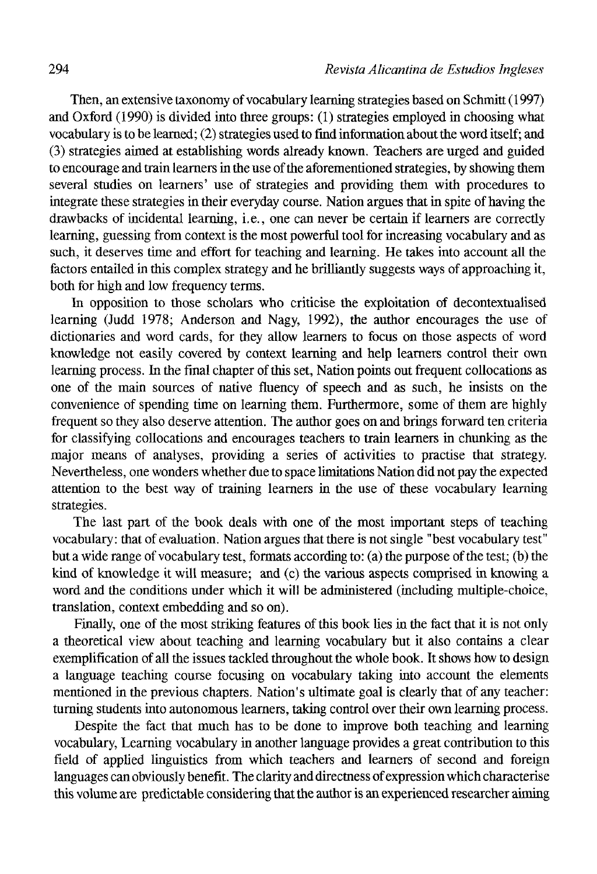Then, an extensive taxonomy of vocabulary leaming strategies based on Schmitt (1997) and Oxford (1990) is divided into three groups: (1) strategies employed in choosing what vocabulary is to be learned; (2) strategies used to find information about the word itself; and (3) strategies aimed at establishing words already known. Teachers are urged and guided to encourage and train learners in the use of the aforementioned strategies, by showing them several studies on learners' use of strategies and providing them with procedures to intégrate these strategies in their everyday course. Nation argües that in spite of having the drawbacks of incidental learning, i.e., one can never be certain if learners are correctly learning, guessing from context is the most powerful tool for increasing vocabulary and as such, it deserves time and effort for teaching and learning. He takes into account all the factors entailed in this complex strategy and he brilliantly suggests ways of approaching it, both for high and low frequency terms.

In opposition to those scholars who criticise the exploitation of decontextualised learning (Judd 1978; Anderson and Nagy, 1992), the author encourages the use of dictionaries and word cards, for they allow learners to focus on those aspects of word knowledge not easily covered by context learning and help learners control their own learning process. In the final chapter of this set, Nation points out frequent collocations as one of the main sources of native fluency of speech and as such, he insists on the convenience of spending time on learning them. Furthermore, some of them are highly frequent so they also deserve attention. The author goes on and brings forward ten criteria for classifying collocations and encourages teachers to train learners in chunking as the major means of analyses, providing a series of activities to practise that strategy. Nevertheless, one wonders whether due to space limitations Nation did not pay the expected attention to the best way of training learners in the use of these vocabulary learning strategies.

The last part of the book deals with one of the most important steps of teaching vocabulary: that of evaluation. Nation argües that there is not single "best vocabulary test" buta wide range of vocabulary test, formats according to: (a) the purpose of the test; (b) the kind of knowledge it will measure; and (c) the various aspects comprised in knowing a word and the conditions under which it will be administered (including multiple-choice, translation, context embedding and so on).

Finally, one of the most striking features of this book lies in the fact that it is not only a theoretical view about teaching and learning vocabulary but it also contains a clear exempliñcation of all the issues tackled throughout the whole book. It shows how to design a language teaching course focusing on vocabulary taking into account the elements mentioned in the previous chapters. Nation's ultímate goal is clearly that of any teacher: turning students into autonomous learners, taking control over their own learning process.

Despite the fact that much has to be done to improve both teaching and learning vocabulary, Learning vocabulary in another language provides a great contribution to this field of applied linguistics from which teachers and learners of second and foreign languages can obviously benefit. The clarity and directness of expression which characterise this volume are predictable considering that the author is an experienced researcher aiming